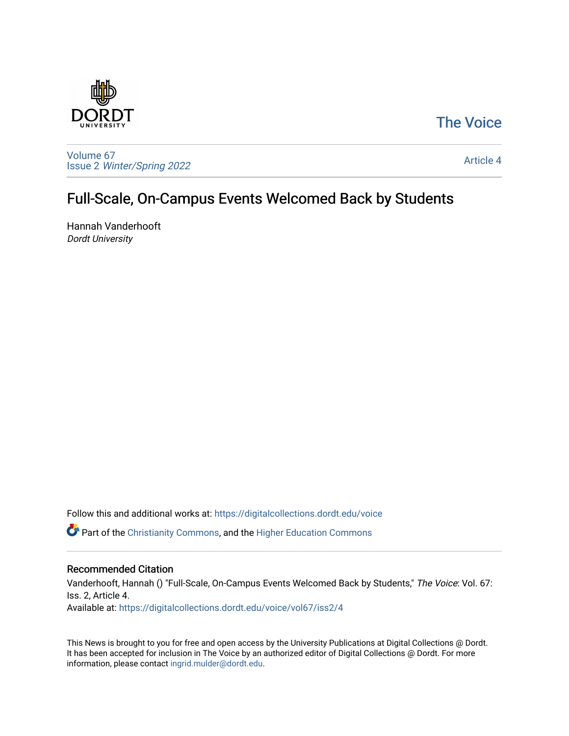## [The Voice](https://digitalcollections.dordt.edu/voice)



[Volume 67](https://digitalcollections.dordt.edu/voice/vol67) Issue 2 [Winter/Spring 2022](https://digitalcollections.dordt.edu/voice/vol67/iss2) 

[Article 4](https://digitalcollections.dordt.edu/voice/vol67/iss2/4) 

## Full-Scale, On-Campus Events Welcomed Back by Students

Hannah Vanderhooft Dordt University

Follow this and additional works at: [https://digitalcollections.dordt.edu/voice](https://digitalcollections.dordt.edu/voice?utm_source=digitalcollections.dordt.edu%2Fvoice%2Fvol67%2Fiss2%2F4&utm_medium=PDF&utm_campaign=PDFCoverPages) 

Part of the [Christianity Commons,](http://network.bepress.com/hgg/discipline/1181?utm_source=digitalcollections.dordt.edu%2Fvoice%2Fvol67%2Fiss2%2F4&utm_medium=PDF&utm_campaign=PDFCoverPages) and the [Higher Education Commons](http://network.bepress.com/hgg/discipline/1245?utm_source=digitalcollections.dordt.edu%2Fvoice%2Fvol67%2Fiss2%2F4&utm_medium=PDF&utm_campaign=PDFCoverPages) 

## Recommended Citation

Vanderhooft, Hannah () "Full-Scale, On-Campus Events Welcomed Back by Students," The Voice: Vol. 67: Iss. 2, Article 4. Available at: [https://digitalcollections.dordt.edu/voice/vol67/iss2/4](https://digitalcollections.dordt.edu/voice/vol67/iss2/4?utm_source=digitalcollections.dordt.edu%2Fvoice%2Fvol67%2Fiss2%2F4&utm_medium=PDF&utm_campaign=PDFCoverPages)

This News is brought to you for free and open access by the University Publications at Digital Collections @ Dordt. It has been accepted for inclusion in The Voice by an authorized editor of Digital Collections @ Dordt. For more information, please contact [ingrid.mulder@dordt.edu.](mailto:ingrid.mulder@dordt.edu)